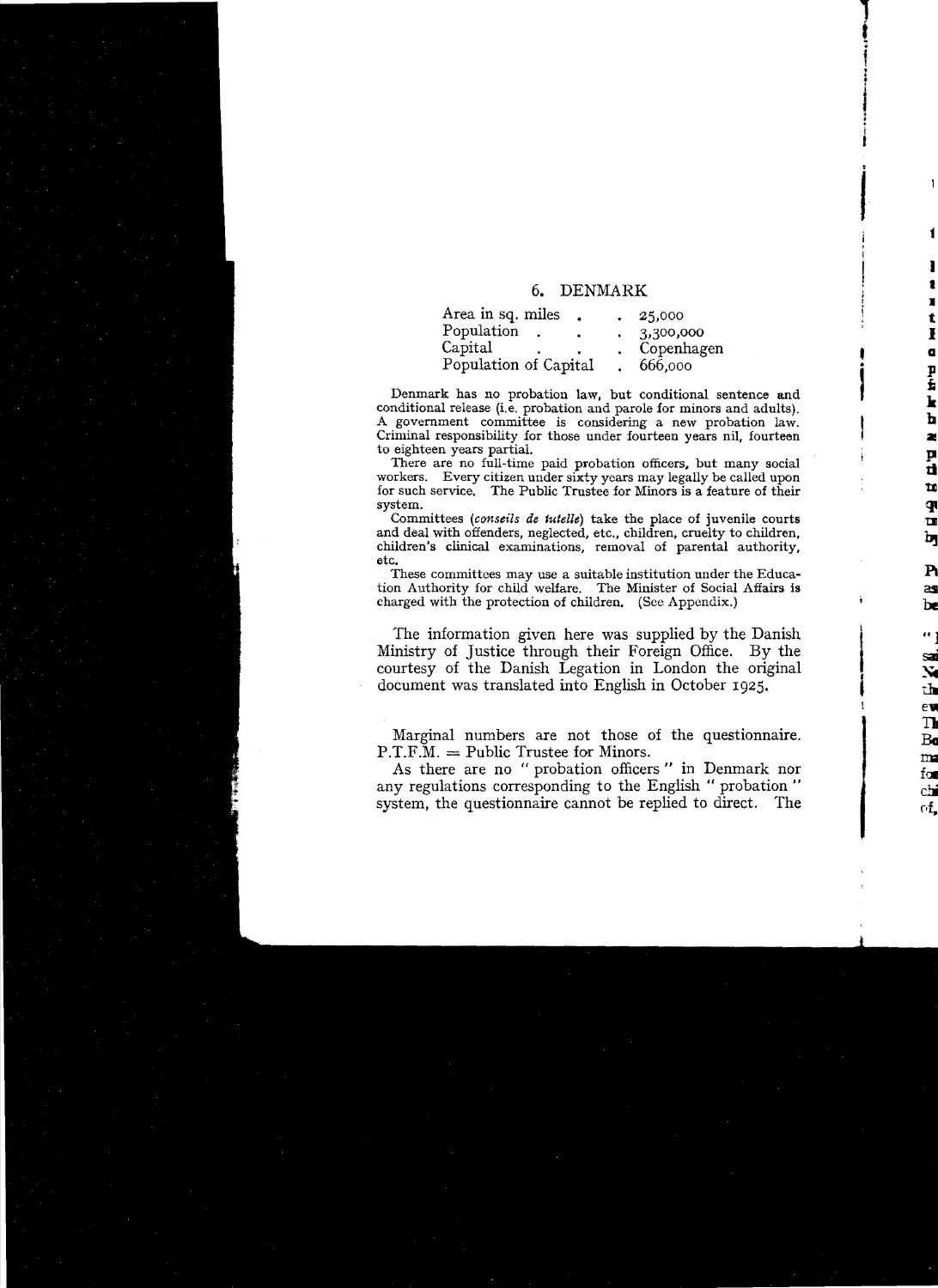## 6. DENMARK

f i

f t J

I

 $\label{eq:3.1} \frac{1}{2} \int_{0}^{2\pi} \frac{1}{\sqrt{2\pi}} \int_{0}^{2\pi} \frac{1}{\sqrt{2\pi}} \int_{0}^{2\pi} \frac{1}{\sqrt{2\pi}} \int_{0}^{2\pi} \frac{1}{\sqrt{2\pi}} \int_{0}^{2\pi} \frac{1}{\sqrt{2\pi}} \int_{0}^{2\pi} \frac{1}{\sqrt{2\pi}} \int_{0}^{2\pi} \frac{1}{\sqrt{2\pi}} \int_{0}^{2\pi} \frac{1}{\sqrt{2\pi}} \int_{0}^{2\pi} \frac{1}{\sqrt{2\pi}} \int_{0}^{$ 

•

| Area in sq. miles     | 25,000     |
|-----------------------|------------|
| Population            | 3,300,000  |
| Capital               | Copenhagen |
| Population of Capital | 666,000    |

Denmark bas no probation law, but conditional sentence and conditional release (i.e. probation and parole for minors and adults). A government committee is considering a new probation law. Criminal responsibility for those under fourteen years nil, fourteen to eighteen years partial.

There are no full-time paid probation officers, but many social workers. Every citizen under sixty years may legally be called upon for sueh service. The Publie Trustee for Minors is a feature of their system.

Committees *(conseils de tutelle)* take the place of juvenile courts and deal with offenders, neglected, etc.. children, cruelty to ehildren, children's clinical examinations, removal of parental authority, etc.

These committees may use a suitable institution under the Education Authority for child welfare. The Minister of Social Affairs is charged with the protection of children. (See Appendix.)

The information given here was supplied by the Danish Ministry of Justice through their Foreign Office. By the courtesy of the Danish Legation in London the onginal document was translated into English in October 1925.

Marginal numbers are not those of the questionnaire.  $P.T.F.M. = Public Trustee for Minors.$ 

As there are no "probation officers" in Denmark nor any regulations corresponding to the English " probation " system, the questionnaire cannot be replied to direct. The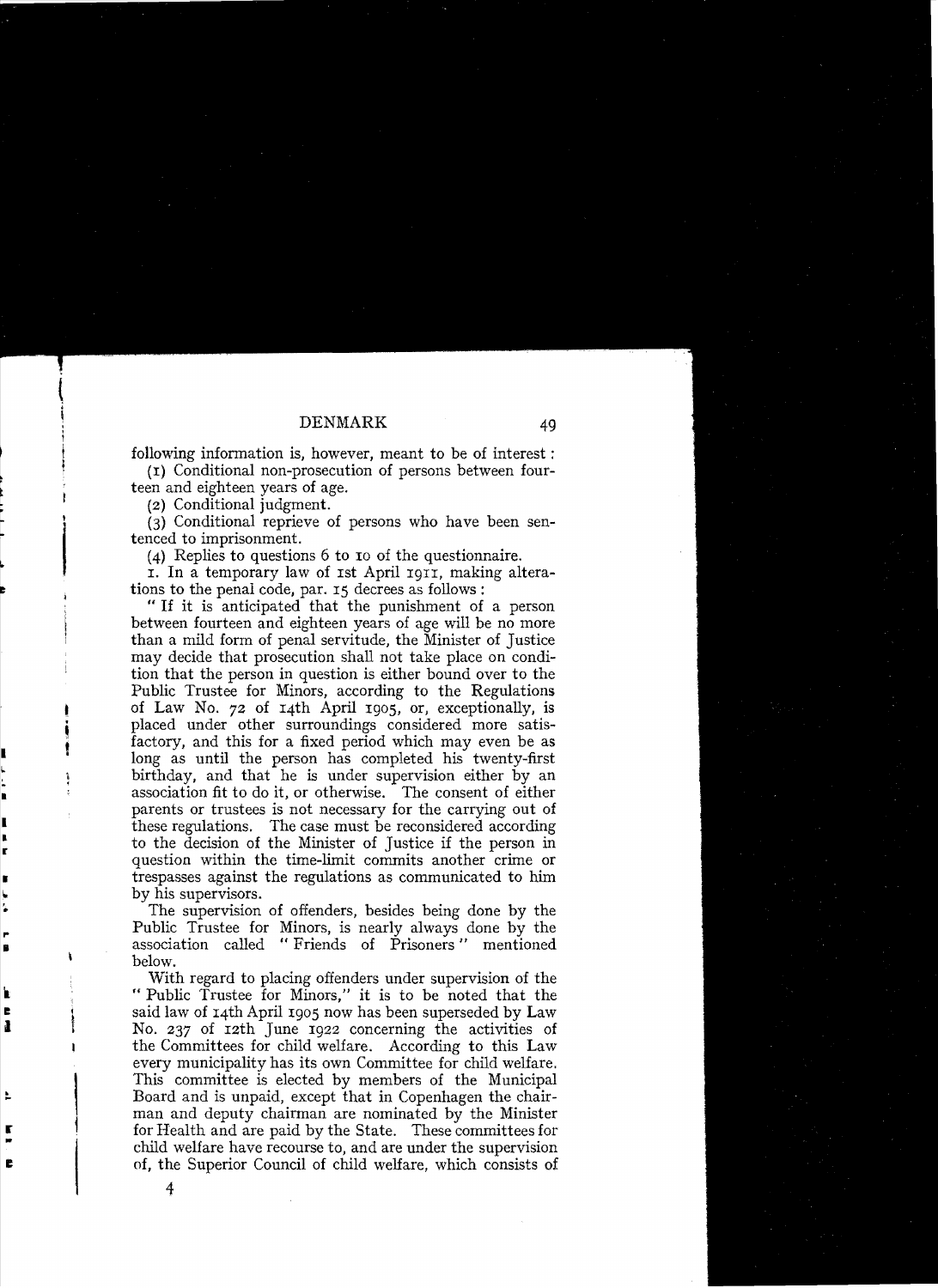following information is, however, meant to be of interest:

(I) Conditional non-prosecution of persons between fourteen and eighteen years of age.

(2) Conditional judgment.

 $(3)$  Conditional reprieve of persons who have been senteneed to imprisonment.

(4) Replies to questions 6 to 10 of the questionnaire.

1. **In** a temporary law of Ist April I9II, making alterations to the penal code, par. 15 decrees as follows :

"If it is anticipated that the punishment of a person between fourteen and eighteen years of age will be no more than a mild form of penal servitude, the Minister of Justice may decide that prosecution shall not take place on condition that the person in question is either bound over to the Public Trustee for Minors, according to the Regulations of Law No. 72 of I4th April 1905, or, exceptionally, is placed under other surroundings considered more satis-<br>factory, and this for a fixed period which may even be as long as until the person has completed his twenty-first birthday, and that he is under supervision either by an association fit to do it, or otherwise. The consent of either parents or trustees is not necessary for the carrying out of these regulations. The case must be reconsidered according to the decision of the Minister of Justice if the person in question within the time-limit commits another crime or trespasses against the regulations as communicated to him

by his supervisors.<br>The supervision of offenders, besides being done by the Public Trustee for Minors, is nearly always done by the association called "Friends of Prisoners" mentioned below.

With regard to placing offenders under supervision of the " Public Trustee for Minors," it is to be noted that the said law of 14th April 1905 now has been superseded by Law No. 237 of 12th June 1922 concerning the activities of the Committees for child welfare. According to this Law every municipality has its own Committee for child welfare. This committee is elected by members of the Municipal Board and is unpaid, except that in Copenhagen the chairman and deputy chairman are nominated by the Minister for Health and are paid by the State. These committees for child welfare have recourse to, and are under the supervision of, the Superior Council of child welfare, which consists of

4

Ì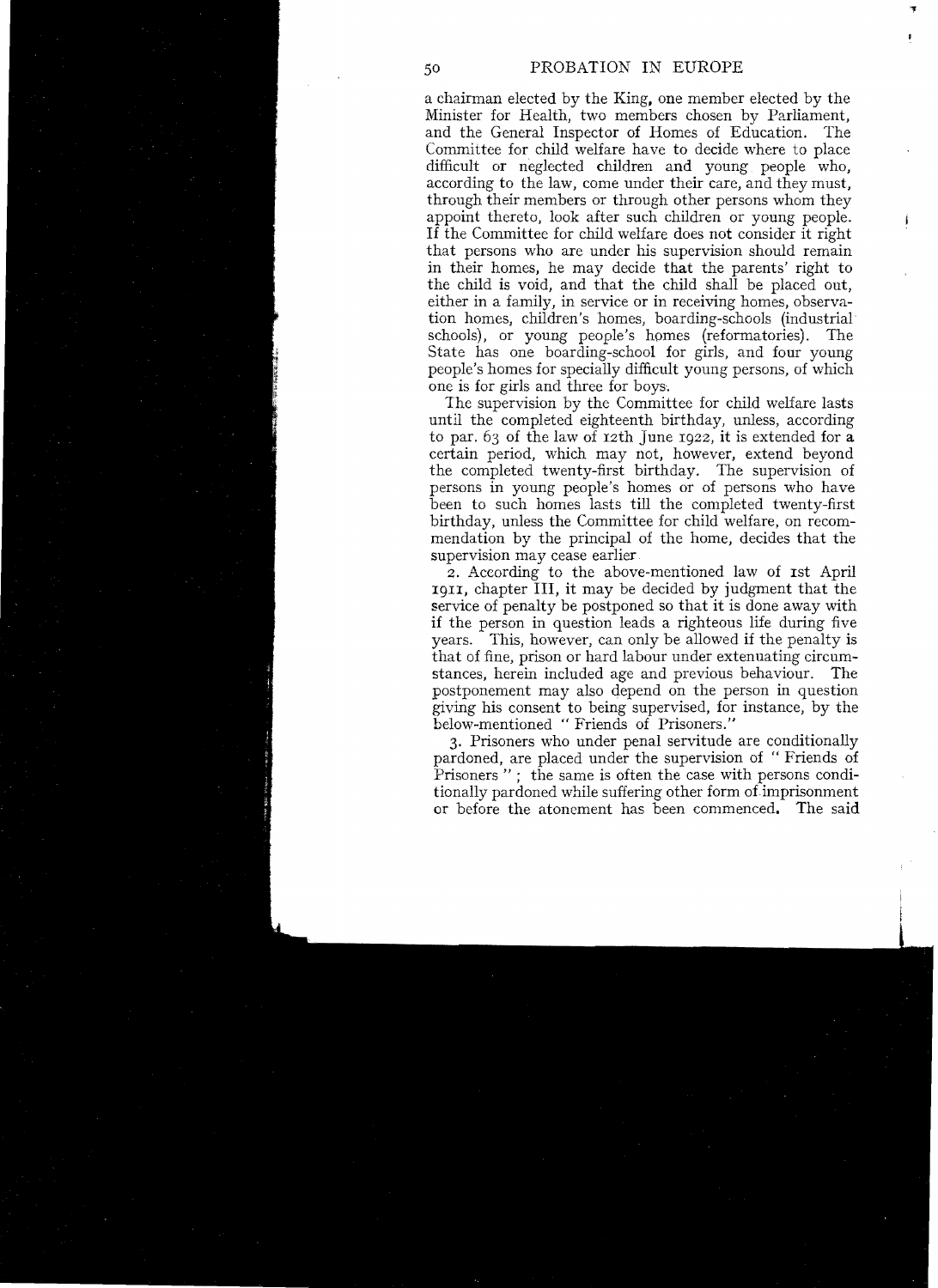"'J

achairman elected by the Ring, one member elected by the Minister for Health, two members chosen by Parliament, and the General Inspector of Homes of Education. The Committee for child welfare have to decide where to place difficult or neglected children and young people who, according to the law, come under their care, and they must, through their members or through other persons whom they appoint thereto, look after such children or young people. If the Committee for child welfare does not consider it right that persons who are under his supervision should remain in their homes, he may decide that the parents' right to the child is void, and that the child shall be placed out, either in a family, in service or in receiving homes, observation homes, children's homes, boarding-schools (industrial schools), or young people's homes (reformatories). The State has one boarding-school for girls, and four young people's homes for specially difficult young persons, of which one is for girls and three for boys.

The supervision by the Committee for child welfare lasts until the completed eighteenth birthday, uniess, according to par. 63 of the law of 12th June 1922, it is extended for a certain period, which may not, however, extend beyond the completed twenty-first birthday. The supervision of persons in young people's homes or of persons who have been to such homes lasts till the completed twenty-first birthday, unless the Committee for child welfare, on recommendation by the principal of the home, decides that the supervision may cease earlier

2. Aceording to the above-mentioned law of Ist April I9II, chapter lIl, it may be decided by judgment that the service of penalty be postponed so that it is done away with if the person in question leads a righteous life during five years. This, however, can only be allowed if the penalty is that of fine, prison or hard labour under extenuating circumstances, herein included age and previous behaviour. The postponement mayalso depend on the person in question giving his consent to being supervised, for instance, by the below-mentioned "Friends of Prisoners."

3. Prisoners who under penal servitude are conditionally pardoned, are placed under the supervision of "Friends of Prisoners "; the same is often the case with persons conditionally pardoned while suffering other form of imprisonment or before the atonement has been commenced. The said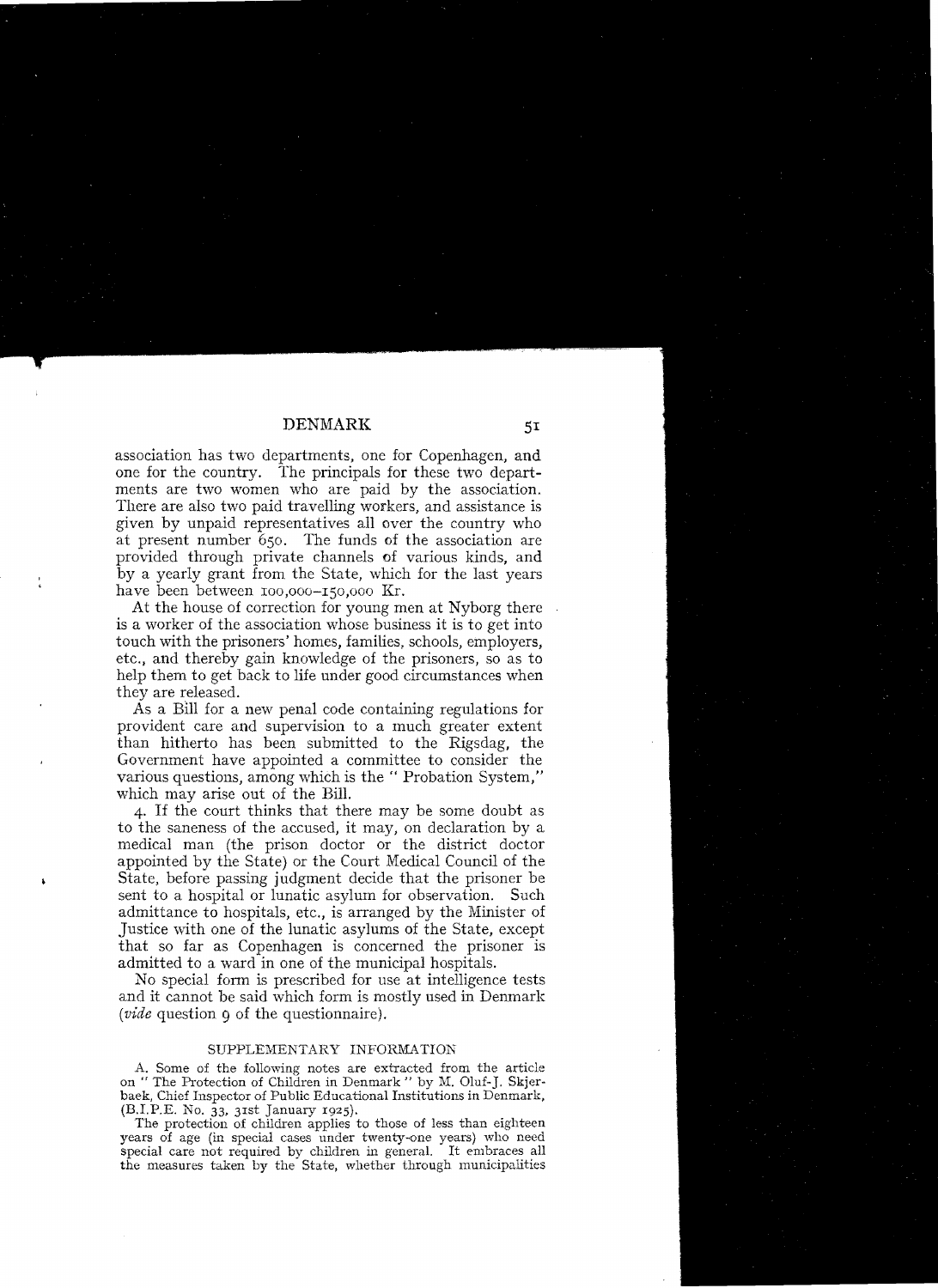## DENMARK

association has two departments, one for Copenhagen, and one for the country. The principals for these two departments are two women who are paid by the association. There are also two paid travelling workers, and assistance is given by unpaid representatives all over the country who at present number 650. The funds of the association are provided through private channels of various kinds, and by a yearly grant from the State, which for the last years have been between 100,000-150,000 Kr.

At the house of correction for young men at Nyborg there is a worker of the association whose business it is to get into touch with the prisoners' homes, families, schools, employers, etc., and thereby gain knowledge of the prisoners, so as to help them to get back to life under good circumstances when they are released.

As a Bill for a new penal code containing regulations for provident care and supervision to a much greater extent than hitherto has been submitted to the Rigsdag, the Government have appointed a committee to consider the various questions, among which is the "Probation System," which may arise out of the Bill.

4. If the court thinks that there may be some doubt as to the saneness of the accused, it may, on declaration by a medical man (the prison doctor or the district doctor appointed by the State) or the Court Medical Council of the State, before passing judgment decide that the prisoner be sent to a hospital or lunatic asylum for observation. Such admittance to hospitals, etc., is arranged by the Minister of Justice with one of the lunatic asylums of the State, except that so far as Copenhagen is concerned the prisoner is admitted to a ward in one of the municipal hospitals.

No special form is prescribed for use at intelligence tests and it cannot be said which form is mostly used in Denmark *(vide* question 9 of the questionnaire).

## SUPPLEMENTARY INFORMATION

A. Some of the following notes are extracted from the article on " The Protection of Children in Denmark " by M. Oluf-]. Skjerbaek, Chief Inspector of Public Educational Institutions in Denmark, (B.I.P.E. No. 33, 3Ist January 1925).

The protection of children applies to those of less than eighteen years of age (in special cases under twenty-one years) who need special care not required by children in general. It embraces all the measures taken by the State, whether through municipalities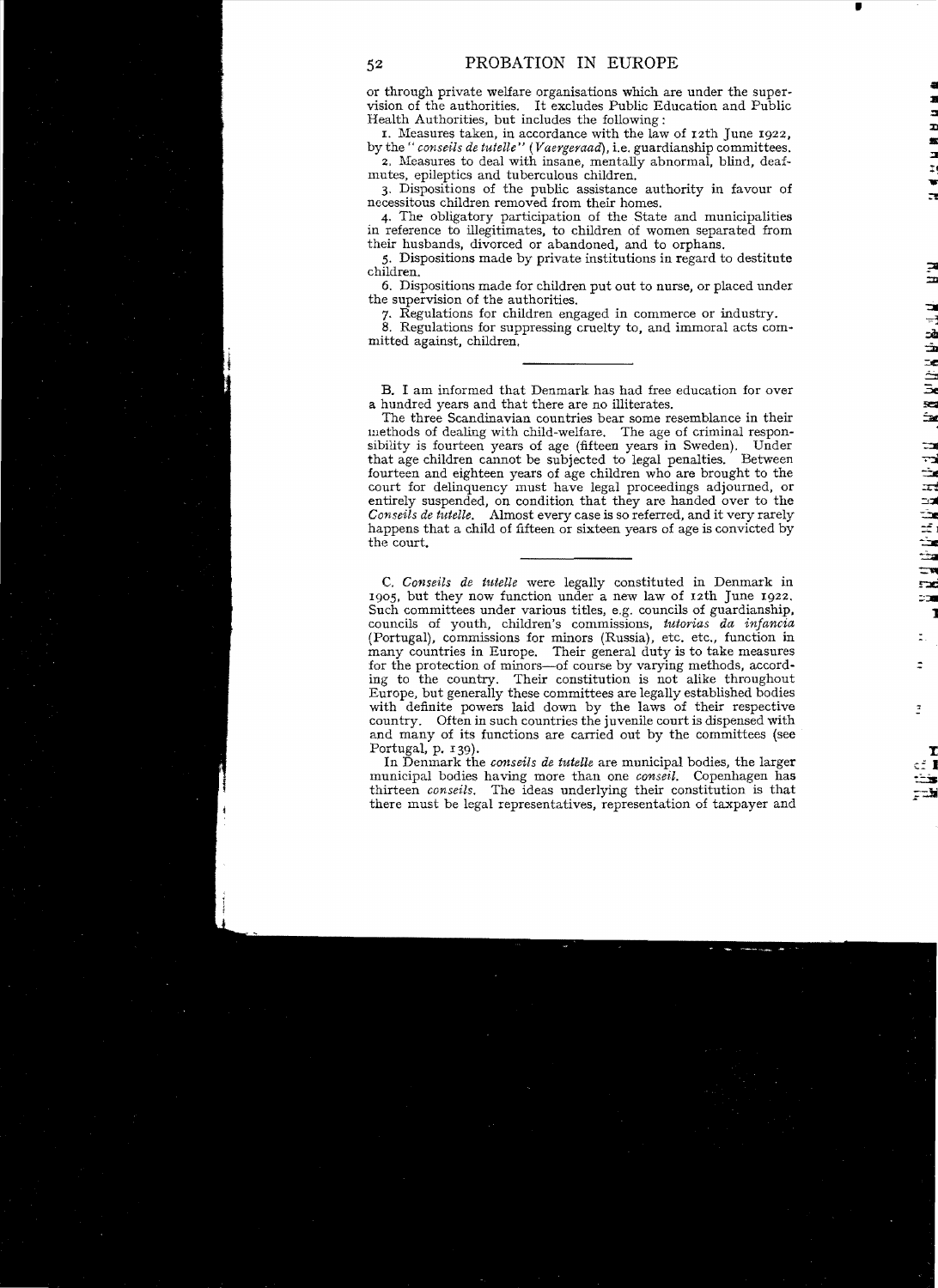•

or through private welfare organisations which are under the supervision of the authorities. It excludes Public Education and Public Health Authorities, but includes the following:

1. Measures taken, in accordance with the law of  $12th$  June  $1922$ , by the" *conseils de tutelle" (Vaergeraad),* i.e. guardianship committees. •

2. Measures to deal with insane, mentally abnormal, blind, deaf-mutes, epileptics and tuberculous children.

3. Dispositions of the public assistance authority in favour of necessitous children removed from their homes.

4. The obligatory participation of the State and municipalities in reference to illegitimates, to children of women separated from their husbands, divorced or abandoned, and to orphans.

5. Dispositions made by private institutions in regard to destitute children. In the children of the children of the children.

6. Dispositions made for children put out to nurse, or placed under the supervision of the authorities.

7. Regulations for children engaged in commerce or industry.

8. Regulations for suppressing cruelty to, and immoral acts committed against, children.

B. I am informed that Denmark has had free education for over a hundred years and that there are no illiterates.

The three Scandinavian countries bear some resemblance in their methods of dealing with child-welfare. The age of criminal responsibility is fourteen years of age (fifteen years in Sweden). Under that age children cannot be subjected to legal penalties. Between fourteen and eighteen years of age children who are brought to the court for delinquency must have legal proceedings adjourned, or entirely suspended, on condition that they are handed over to the *Conseils de tutelle.* Almost every case is so referred, and it very rarely ~ happens that a child of fifteen or sixteen years of age is convicted by  $t = \frac{1}{2}$  and  $\alpha$  denote be integer to since  $\alpha$  by the court.

C. Conseils de tutelle were legally constituted in Denmark in 1905, but they now function under a new law of 12th June 1922. Such committees under various titles, e.g. councils of guardianship, councils of youth, children's commissions, *tutorias da infancia*  (Portugal), commissions for minors (Russia), etc. etc., function in many countries in Europe. Their general duty is to take measures for the protection of minors-of course by varying methods, according to the country. Their constitution is not alike throughout Europe, but generally these committees are legally established bodies with definite powers laid down by the laws of their respective country. Often in such countries the juvenile court is dispensed with and many of its functions are carried out by the committees (see

Portugal, p. 139).<br>In Denmark the *conseils de tutelle* are municipal bodies, the larger municipal bodies having more than one *conseil*. Copenhagen has thirteen *conseils*. The ideas underlying their constitution is that there must be legal representatives, representation of taxpayer and